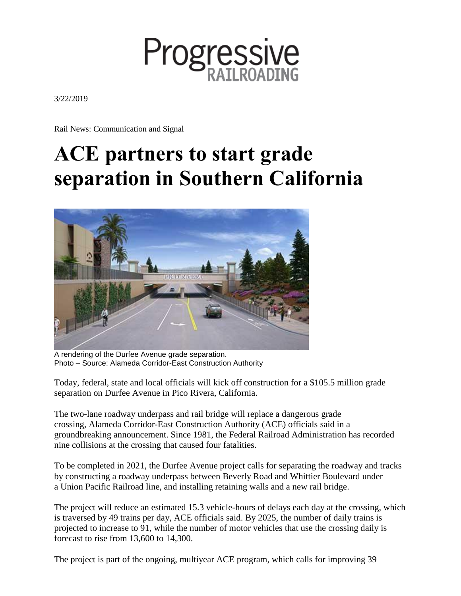

3/22/2019

Rail News: Communication and Signal

## **ACE partners to start grade separation in Southern California**



A rendering of the Durfee Avenue grade separation. Photo – Source: Alameda Corridor-East Construction Authority

Today, federal, state and local officials will kick off construction for a \$105.5 million [grade](https://www.theaceproject.org/durfee-avenue-grade-separation-pico) [separation](https://www.theaceproject.org/durfee-avenue-grade-separation-pico) on Durfee Avenue in Pico Rivera, California.

The two-lane roadway underpass and rail bridge will replace a dangerous grade crossing, Alameda [Corridor-East](https://www.theaceproject.org/) Construction Authority (ACE) officials said in a groundbreaking announcement. Since 1981, the Federal Railroad Administration has recorded nine collisions at the crossing that caused four fatalities.

To be completed in 2021, the Durfee Avenue project calls for separating the roadway and tracks by constructing a roadway underpass between Beverly Road and Whittier Boulevard under a Union Pacific [Railroad](https://www.progressiverailroading.com/union_pacific/) line, and installing retaining walls and a new rail bridge.

The project will reduce an estimated 15.3 vehicle-hours of delays each day at the crossing, which is traversed by 49 trains per day, ACE officials said. By 2025, the number of daily trains is projected to increase to 91, while the number of motor vehicles that use the crossing daily is forecast to rise from 13,600 to 14,300.

The project is part of the ongoing, multiyear ACE program, which calls for improving 39